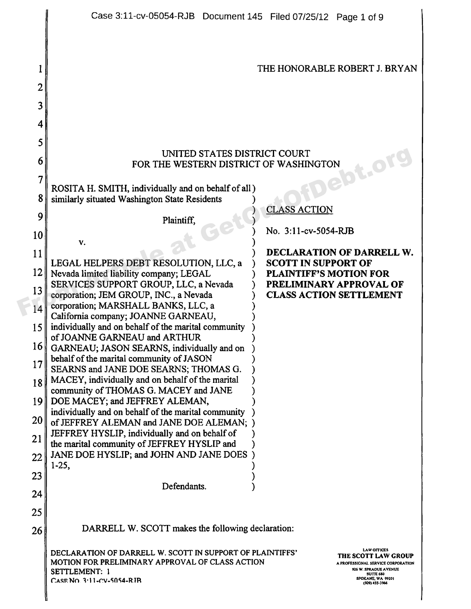|        | Case 3:11-cv-05054-RJB Document 145 Filed 07/25/12 Page 1 of 9                                                                                             |  |                               |                                                                                                                                                                     |
|--------|------------------------------------------------------------------------------------------------------------------------------------------------------------|--|-------------------------------|---------------------------------------------------------------------------------------------------------------------------------------------------------------------|
| 2<br>3 |                                                                                                                                                            |  |                               | THE HONORABLE ROBERT J. BRYAN                                                                                                                                       |
| 4      |                                                                                                                                                            |  |                               |                                                                                                                                                                     |
| 5      |                                                                                                                                                            |  |                               |                                                                                                                                                                     |
| 6      | UNITED STATES DISTRICT COURT                                                                                                                               |  |                               |                                                                                                                                                                     |
| 7      | FOR THE WESTERN DISTRICT OF WASHINGTON                                                                                                                     |  |                               | <b>abt.ol</b>                                                                                                                                                       |
| 8      | ROSITA H. SMITH, individually and on behalf of all)                                                                                                        |  |                               |                                                                                                                                                                     |
| 9      | similarly situated Washington State Residents                                                                                                              |  | <b>CLASS ACTION</b>           |                                                                                                                                                                     |
| 10     | Plaintiff,                                                                                                                                                 |  | No. 3:11-cv-5054-RJB          |                                                                                                                                                                     |
| 11     | V.                                                                                                                                                         |  |                               | DECLARATION OF DARRELL W.                                                                                                                                           |
| 12     | LEGAL HELPERS DEBT RESOLUTION, LLC, a                                                                                                                      |  | <b>SCOTT IN SUPPORT OF</b>    |                                                                                                                                                                     |
| 13     | Nevada limited liability company; LEGAL<br>SERVICES SUPPORT GROUP, LLC, a Nevada                                                                           |  | <b>PLAINTIFF'S MOTION FOR</b> | PRELIMINARY APPROVAL OF                                                                                                                                             |
| 14     | corporation; JEM GROUP, INC., a Nevada<br>corporation; MARSHALL BANKS, LLC, a                                                                              |  |                               | <b>CLASS ACTION SETTLEMENT</b>                                                                                                                                      |
| 15     | California company; JOANNE GARNEAU,<br>individually and on behalf of the marital community                                                                 |  |                               |                                                                                                                                                                     |
| 16     | of JOANNE GARNEAU and ARTHUR                                                                                                                               |  |                               |                                                                                                                                                                     |
| 17     | GARNEAU; JASON SEARNS, individually and on<br>behalf of the marital community of JASON                                                                     |  |                               |                                                                                                                                                                     |
| 18     | SEARNS and JANE DOE SEARNS; THOMAS G.<br>MACEY, individually and on behalf of the marital                                                                  |  |                               |                                                                                                                                                                     |
| 19     | community of THOMAS G. MACEY and JANE<br>DOE MACEY; and JEFFREY ALEMAN,                                                                                    |  |                               |                                                                                                                                                                     |
| 20     | individually and on behalf of the marital community                                                                                                        |  |                               |                                                                                                                                                                     |
| 21     | of JEFFREY ALEMAN and JANE DOE ALEMAN; )<br>JEFFREY HYSLIP, individually and on behalf of                                                                  |  |                               |                                                                                                                                                                     |
| 22     | the marital community of JEFFREY HYSLIP and<br>JANE DOE HYSLIP; and JOHN AND JANE DOES)                                                                    |  |                               |                                                                                                                                                                     |
| 23     | $1-25,$                                                                                                                                                    |  |                               |                                                                                                                                                                     |
| 24     | Defendants.                                                                                                                                                |  |                               |                                                                                                                                                                     |
| 25     |                                                                                                                                                            |  |                               |                                                                                                                                                                     |
| 26     | DARRELL W. SCOTT makes the following declaration:                                                                                                          |  |                               |                                                                                                                                                                     |
|        | DECLARATION OF DARRELL W. SCOTT IN SUPPORT OF PLAINTIFFS'<br>MOTION FOR PRELIMINARY APPROVAL OF CLASS ACTION<br>SETTLEMENT: 1<br>CASE NO. 3:11-CV-5054-RJB |  |                               | <b>LAW OFFICES</b><br>THE SCOTT LAW GROUP<br>A PROFESSIONAL SERVICE CORPORATION<br>926 W. SPRAOUE AVENUE<br><b>SUITE 680</b><br>SPOKANE, WA 99201<br>(509) 455-3966 |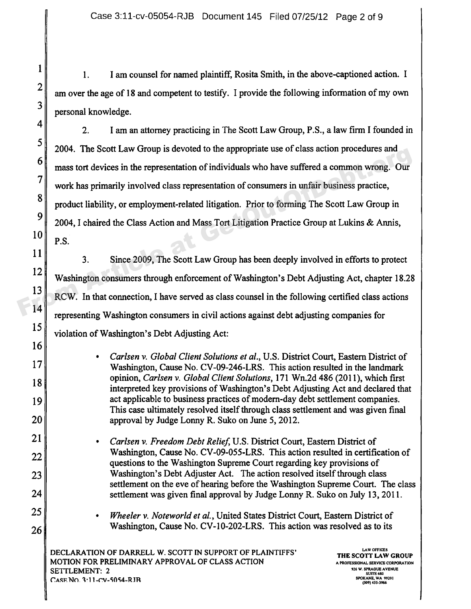I am counsel for named plaintiff, Rosita Smith, in the above-captioned action. I  $1.$ am over the age of 18 and competent to testify. I provide the following information of my own personal knowledge.

2. I am an attorney practicing in The Scott Law Group, P.S., a law firm I founded in 2004. The Scott Law Group is devoted to the appropriate use of class action procedures and mass tort devices in the representation of individuals who have suffered a common wrong. Our work has primarily involved class representation of consumers in unfair business practice, product liability, or employment-related litigation. Prior to forming The Scott Law Group in 2004, I chaired the Class Action and Mass Tort Litigation Practice Group at Lukins & Armis,  $10 \parallel P.S.$ From Article at GetOut Law Croup is devoted to the appropriate use of class action procedures and<br>
mass tort devices in the representation of individuals who have suffered a common wrong. Our<br>
vork has primarily involved c

3. Since 2009, The Scott Law Group has been deeply involved in efforts to protect 12<br>Washington consumers through enforcement of Washington's Debt Adjusting Act, chapter 18.28 13 RCW. In that connection, I have served as class counsel in the following certified class actions 14 representing Washington consumers in civil actions against debt adjusting companies for 15 violation of Washington's Debt Adjusting Act:

**•** Carlsen v. Global Client Solutions et al., U.S. District Court, Eastern District of 17 Washington, Cause No. CV-09-246-LRS. This action resulted in the landmark opinion, Carlsen v. Global Client Solutions, 171 Wn.2d 486 (2011), which first interpreted key provisions of Washington's Debt Adjusting Act and declared that 19 act applicable to business practices of modern-day debt settlement companies. This case ultimately resolved itself through class settlement and was given final 20 approval by Judge Lonny R. Suko on June 5, 2012.

- 21 **•** *Carlsen v. Freedom Debt Relief*, U.S. District Court, Eastern District of 22 Washington, Cause No. CV-09-055-LRS. This action resulted in certification of questions to the Washington Supreme Court regarding key provisions of 23 Washington's Debt Adjuster Act. The action resolved itself through class settlement on the eve of hearing before the Washington Supreme Court. The class  $24$  settlement was given final approval by Judge Lonny R. Suko on July 13, 2011.
- 25 **•** *Wheeler v. Noteworld et al.*, United States District Court, Eastern District of 26 Washington, Cause No. CV-10-202-LRS. This action was resolved as to its

DECLARATION OF DARRELL W. SCOTT IN SUPPORT OF PLAINTIFFS' **LAW OFFICE5** MOTION FOR PRELIMINARY APPROVAL OF CLASS ACTION A PROFESSIONAL SERVICE CORPORATION SETTLEMENT: 2 CASE NO. 3:11-CV-5054-RJR

**THE SCOTT LAW GROUP**<br>A PROFESSIONAL SERVICE CORPORATION SUITE 660 SPOKANE, WA 99201<br>(509) 455-3966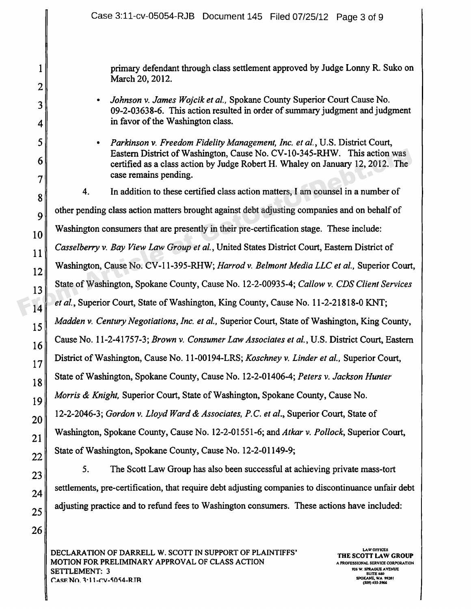primary defendant through class settlement approved by Judge Lonny R. Suko on March 20, 2012.

- Johnson v. James Wojcik et al., Spokane County Superior Court Cause No. 09-2-03638-6. This action resulted in order of summary judgment and judgment in favor of the Washington class.
- **•** Parkinson v. Freedom Fidelity Management, Inc. et al., U.S. District Court, Eastern District of Washington, Cause No. CV-10-345-RHW. This action was certified as a class action by Judge Robert H. Whaley on January 12, 2012. The case remains pending.

4. In addition to these certified class action matters, I am counsel in a number of other pending class action matters brought against debt adjusting companies and on behalf of  $\begin{array}{|c|c|c|c|c|} \hline \text{Washington consumers that are presently in their pre-certification stage. These include:} \hline \end{array}$ Casselberry v. Bay View Law Group et al., United States District Court, Eastern District of 12 Washington, Cause No. CV-11-395-RHW; Harrod v. Belmont Media LLC et al., Superior Court, State of Washington, Spokane County, Cause No. 12-2-00935-4; Callow v. CDS Client Services et al., Superior Court, State of Washington, King County, Cause No. 11-2-21818-0 KNT;  $\|15\|$  Madden v. Century Negotiations, Inc. et al., Superior Court, State of Washington, King County, 16 Cause No. 11-2-41757-3; Brown v. Consumer Law Associates et al., U.S. District Court, Eastern 17 District of Washington, Cause No. 11-00194-LRS; Koschney v. Linder et al., Superior Court, 18 State of Washington, Spokane County, Cause No. 12-2-01406-4; Peters v. Jackson Hunter 19 Morris & Knight, Superior Court, State of Washington, Spokane County, Cause No. 12-2-2046-3; Gordon v. Lloyd Ward & Associates, P.C. et al., Superior Court, State of 21 Washington, Spokane County, Cause No. 12-2-01551-6; and Atkar v. Pollock, Superior Court, 22 State of Washington, Spokane County, Cause No. 12-2-01149-9; From Article at a a class action by Judge Robert H. Whaley on January 12, 2012. The<br>
The case remains pending.<br>
4. In addition to these certified class action matters, I am counsel in a number of<br>
9 other pending class ac

 $23$  5. The Scott Law Group has also been successful at achieving private mass-tort  $24$  settlements, pre-certification, that require debt adjusting companies to discontinuance unfair debt  $25$  adjusting practice and to refund fees to Washington consumers. These actions have included:

DECLARATION OF DARRELL W. SCOTT IN SUPPORT OF PLAINTIFFS' THE SCOTT LAW DESCRIPTION MOTION FOR PRELIMINARY APPROVAL OF CLASS ACTION A PROFESSIONAL SERVICE CORPORATION A PROFESSIONAL SERVICE CORPO<br>STATTI EMENIT: 2 **SETTLEMENT: 3** t.Asm Nn. 1.11-rv-SAS4-R.TR **SPOKANF WA 99\$0I**

**THE SCOTT LAW GROUP**<br>A PROFESSIONAL SERVICE CORPORATION SUITE **6\$0** SPOKANE, WA 99201<br>(509) 455-3966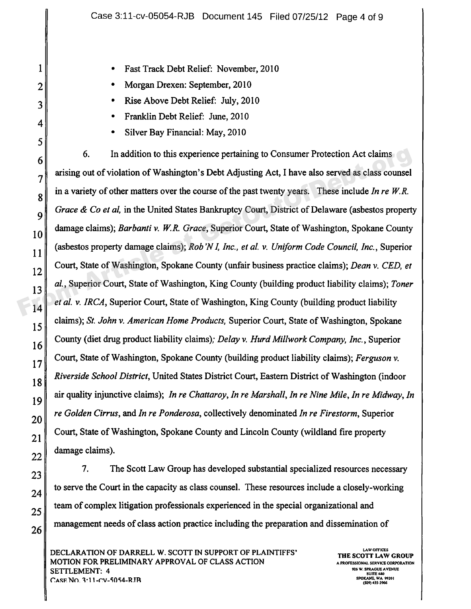- **•** Fast Track Debt Relief: November, 2010
- **•** Morgan Drexen: September, 2010
- **•** Rise Above Debt Relief: July, 2010
- **•** Franklin Debt Relief: June, 2010
- **•** Silver Bay Financial: May, 2010

6. In addition to this experience pertaining to Consumer Protection Act claims arising out of violation of Washington's Debt Adjusting Act, I have also served as class counsel in a variety of other matters over the course of the past twenty years. These include In re  $W.R.$ Grace & Co et al, in the United States Bankruptcy Court, District of Delaware (asbestos property  $\begin{bmatrix} 10 \end{bmatrix}$  damage claims); Barbanti v. W.R. Grace, Superior Court, State of Washington, Spokane County (asbestos property damage claims); Rob 'N I, Inc., et al. v. Uniform Code Council, Inc., Superior  $\|12\|$  Court, State of Washington, Spokane County (unfair business practice claims); Dean v. CED, et al., Superior Court, State of Washington, King County (building product liability claims); Toner et al. v. IRCA, Superior Court, State of Washington, King County (building product liability claims); St. John v. American Home Products, Superior Court, State of Washington, Spokane  $\|16\|$  County (diet drug product liability claims); Delay v. Hurd Millwork Company, Inc., Superior  $\|7\|$  Court, State of Washington, Spokane County (building product liability claims); Ferguson v. Riverside School District, United States District Court, Eastern District of Washington (indoor 19 air quality injunctive claims); In re Chattaroy, In re Marshall, In re Nine Mile, In re Midway, In  $20$  re Golden Cirrus, and In re Ponderosa, collectively denominated In re Firestorm, Superior Court, State of Washington, Spokane County and Lincoln County (wildland fire property  $22$  damage claims). From Court in addition to this experience pertaining to Consumer Protection Act claims<br>
Transfering out of violation of Washington's Debt Adjusting Act, I have also served as class counsel<br>
in a variety of other matters o

7. The Scott Law Group has developed substantial specialized resources necessary to serve the Court in the capacity as class counsel. These resources include a closely-working team of complex litigation professionals experienced in the special organizational and management needs of class action practice including the preparation and dissemination of

DECLARATION OF DARRELL W. SCOTT IN SUPPORT OF PLAINTIFFS' THE SCOTT LAW OFFICES MOTION FOR PRELIMINARY APPROVAL OF CLASS ACTION A PROFESSIONAL SERVICE CORPORATION A PROFESSIONAL SERVICE CORPO<br>STATTI EMENT: A professional service corporation and the service corporation of the service corporation in the SETTLEMENT: 4 **929 W. SPRAOUE** AVENUE O'.ARF. Nn. 8 1 i-rv-1014-R.TR **SPOKANE, WA 9950 I**

**THE SCOTT LAW GROUP**<br>A PROFESSIONAL SERVICE CORPORATION SUITE 680 (509) **455-59dd**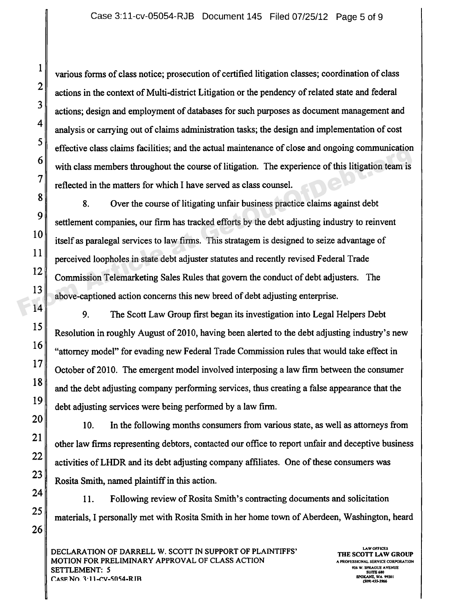various forms of class notice; prosecution of certified litigation classes; coordination of class actions in the context of Multi-district Litigation or the pendency of related state and federal actions; design and employment of databases for such purposes as document management and analysis or carrying out of claims administration tasks; the design and implementation of cost effective class claims facilities; and the actual maintenance of close and ongoing communication with class members throughout the course of litigation. The experience of this litigation team is reflected in the matters for which I have served as class counsel.

8. Over the course of litigating unfair business practice claims against debt settlement companies, our firm has tracked efforts by the debt adjusting industry to reinvent  $\|10\|$  itself as paralegal services to law firms. This stratagem is designed to seize advantage of perceived loopholes in state debt adjuster statutes and recently revised Federal Trade 12 Commission Telemarketing Sales Rules that govern the conduct of debt adjusters. The <sup>13</sup> above-captioned action concerns this new breed of debt adjusting enterprise. From Article at Solutions, and the actual maintenance of elose and ongoing communication<br>
The experience of this litigation team is<br>
reflected in the matters for which I have served as class counsel.<br>
8. Over the course of

14 9. The Scott Law Group first began its investigation into Legal Helpers Debt 15 Resolution in roughly August of 2010, having been alerted to the debt adjusting industry's new  $\frac{16}{\text{4}}$  "attorney model" for evading new Federal Trade Commission rules that would take effect in 17 October of 2010. The emergent model involved interposing a law firm between the consumer 18 and the debt adjusting company performing services, thus creating a false appearance that the debt adjusting services were being performed by a law firm.

 $20$  10. In the following months consumers from various state, as well as attorneys from 21 other law firms representing debtors, contacted our office to report unfair and deceptive business 22  $\parallel$  activities of LHDR and its debt adjusting company affiliates. One of these consumers was 23 Rosita Smith, named plaintiff in this action.

 $24$  | 11. Following review of Rosita Smith's contracting documents and solicitation 25 materials, I personally met with Rosita Smith in her home town of Aberdeen, Washington, heard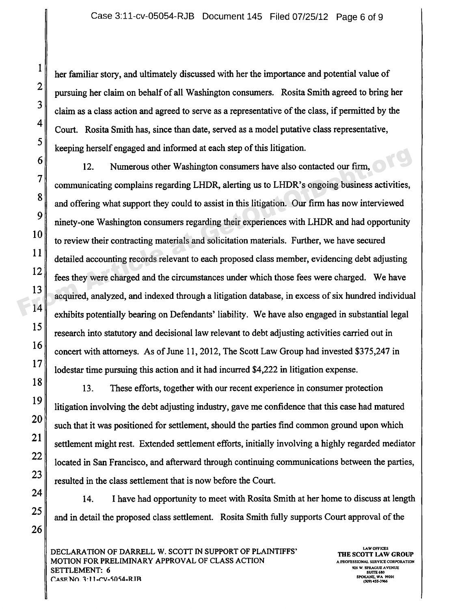her familiar story, and ultimately discussed with her the importance and potential value of pursuing her claim on behalf of all Washington consumers. Rosita Smith agreed to bring her claim as a class action and agreed to serve as a representative of the class, if permitted by the Court. Rosita Smith has, since than date, served as a model putative class representative keeping herself engaged and informed at each step of this litigation

12. Numerous other Washington consumers have also contacted our firm, communicating complains regarding LHDR, alerting us to LHDR's ongoing business activities and offering what support they could to assist in this litigation. Our firm has now interviewed ninety-one Washington consumers regarding their experiences with LHDR and had opportunity to review their contracting materials and solicitation materials. Further, we have secured detailed accounting records relevant to each proposed class member, evidencing debt adjusting fees they were charged and the circumstances under which those fees were charged. We have 13 acquired, analyzed, and indexed through a litigation database, in excess of six hundred individual 14 exhibits potentially bearing on Defendants' liability. We have also engaged in substantial legal 15 research into statutory and decisional law relevant to debt adjusting activities carried out in 16 concert with attorneys. As of June 11, 2012, The Scott Law Group had invested \$375,247 in 17 || lodestar time pursuing this action and it had incurred \$4,222 in litigation expense. From Article at September of the Superintendent September of the Superintendent September of the Superintendent September of the Superintendent September of the Superintendent September of the Superintendent September of t

18 18 13. These efforts, together with our recent experience in consumer protection 19 litigation involving the debt adjusting industry, gave me confidence that this case had matured  $20<sup>20</sup>$  such that it was positioned for settlement, should the parties find common ground upon which 21 settlement might rest. Extended settlement efforts, initially involving a highly regarded mediator  $22$  located in San Francisco, and afterward through continuing communications between the parties,  $23 \parallel$  resulted in the class settlement that is now before the Court.

 $24$  14. I have had opportunity to meet with Rosita Smith at her home to discuss at length 25 and in detail the proposed class settlement. Rosita Smith fully supports Court approval of the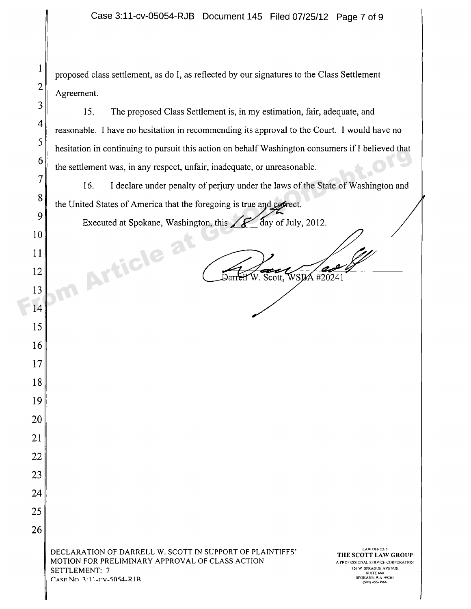proposed class settlement, as do I, as reflected by our signatures to the Class Settlement Agreement.

15. The proposed Class Settlement is, in my estimation, fair, adequate, and reasonable. I have no hesitation in recommending its approval to the Court. I would have no hesitation in continuing to pursuit this action on behalf Washington consumers if I believed that the settlement was, in any respect, unfair, inadequate, or unreasonable.

16. I declare under penalty of perjury under the laws of the State of Washington and the United States of America that the foregoing is true and correct. From Article at Spokene, Washington, this action of behalt was impulsed to the state of Washington and<br>
The settlement was, in any respect, unfair, inadequate, or unreasonable.<br>
The United States of America that the forego

Executed at Spokane, Washington, this  $\sim$  day of July, 2012.

10

 $\mathbf{1}$ 

 $\overline{2}$ 

3

 $\overline{4}$ 

5

13

14

15

16

17

18

19

20

21

22

23

24

25

26

 $12$   $\overline{\text{DarrH W. Scott, WSPA420241}}$ 

DECLARATION OF DARRELL W. SCOTT IN SUPPORT OF PLAINTIFFS' THE SCOTT LAW OFFICES MOTION FOR PRELIMINARY APPROVAL OF CLASS ACTION **6**<sup>r</sup> a professional service corporation **6**<br>SETTI EMENT: 7 SETTLEMENT: 7  $C$ ASF NO 3:11-CV-5054-R IB

**THE SCOTT LAW GRolIP SUITE 660 (5095655.5966**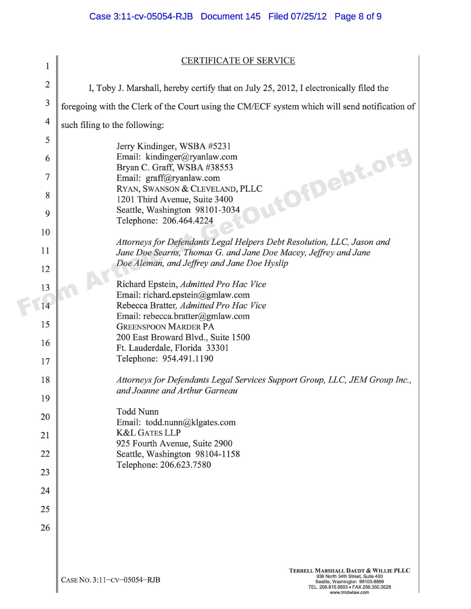## CERTIFICATE OF SERVICE

| $\mathbf{1}$            | <b>CERTIFICATE OF SERVICE</b>                                                                                                                                                                       |  |  |  |
|-------------------------|-----------------------------------------------------------------------------------------------------------------------------------------------------------------------------------------------------|--|--|--|
| $\overline{2}$          | I, Toby J. Marshall, hereby certify that on July 25, 2012, I electronically filed the                                                                                                               |  |  |  |
| $\overline{\mathbf{3}}$ | foregoing with the Clerk of the Court using the CM/ECF system which will send notification of                                                                                                       |  |  |  |
| $\overline{4}$          | such filing to the following:                                                                                                                                                                       |  |  |  |
| 5                       |                                                                                                                                                                                                     |  |  |  |
| 6                       | Jerry Kindinger, WSBA #5231<br>Email: kindinger@ryanlaw.com                                                                                                                                         |  |  |  |
| $\overline{7}$          | OfDebt.or<br>Bryan C. Graff, WSBA #38553<br>Email: graff@ryanlaw.com                                                                                                                                |  |  |  |
| 8                       | RYAN, SWANSON & CLEVELAND, PLLC                                                                                                                                                                     |  |  |  |
|                         | 1201 Third Avenue, Suite 3400<br>Seattle, Washington 98101-3034                                                                                                                                     |  |  |  |
| 9                       | Telephone: 206.464.4224                                                                                                                                                                             |  |  |  |
| 10                      | Attorneys for Defendants Legal Helpers Debt Resolution, LLC, Jason and                                                                                                                              |  |  |  |
| 11                      | Jane Doe Searns, Thomas G. and Jane Doe Macey, Jeffrey and Jane<br>Doe Aleman, and Jeffrey and Jane Doe Hyslip                                                                                      |  |  |  |
| 12                      |                                                                                                                                                                                                     |  |  |  |
| 13                      | Richard Epstein, Admitted Pro Hac Vice<br>Email: richard.epstein@gmlaw.com                                                                                                                          |  |  |  |
| 14                      | Rebecca Bratter, Admitted Pro Hac Vice                                                                                                                                                              |  |  |  |
| 15                      | Email: rebecca.bratter@gmlaw.com<br><b>GREENSPOON MARDER PA</b>                                                                                                                                     |  |  |  |
| 16                      | 200 East Broward Blvd., Suite 1500                                                                                                                                                                  |  |  |  |
| 17                      | Ft. Lauderdale, Florida 33301<br>Telephone: 954.491.1190                                                                                                                                            |  |  |  |
| 18                      | Attorneys for Defendants Legal Services Support Group, LLC, JEM Group Inc.,                                                                                                                         |  |  |  |
| 19                      | and Joanne and Arthur Garneau                                                                                                                                                                       |  |  |  |
| 20                      | <b>Todd Nunn</b>                                                                                                                                                                                    |  |  |  |
| 21                      | Email: todd.nunn@klgates.com<br><b>K&amp;L GATES LLP</b>                                                                                                                                            |  |  |  |
| 22                      | 925 Fourth Avenue, Suite 2900<br>Seattle, Washington 98104-1158                                                                                                                                     |  |  |  |
| 23                      | Telephone: 206.623.7580                                                                                                                                                                             |  |  |  |
| 24                      |                                                                                                                                                                                                     |  |  |  |
| 25                      |                                                                                                                                                                                                     |  |  |  |
| 26                      |                                                                                                                                                                                                     |  |  |  |
|                         |                                                                                                                                                                                                     |  |  |  |
|                         |                                                                                                                                                                                                     |  |  |  |
|                         | TERRELL MARSHALL DAUDT & WILLIE PLLC<br>936 North 34th Street, Suite 400<br>CASE No. 3:11-CV-05054-RJB<br>Seattle, Washington 98103-8869<br>TEL. 206.816.6603 · FAX 206.350.3528<br>www.tmdwlaw.com |  |  |  |

www.tmdwlaw.com